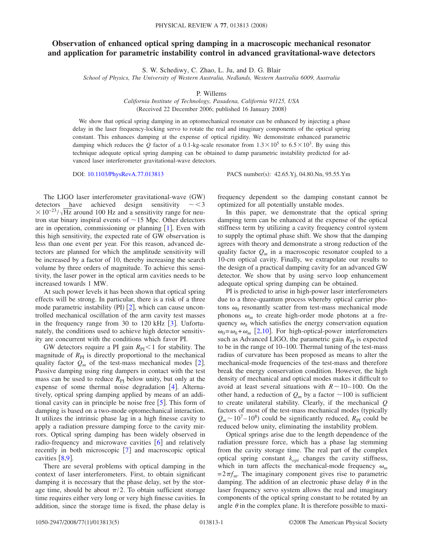## **Observation of enhanced optical spring damping in a macroscopic mechanical resonator and application for parametric instability control in advanced gravitational-wave detectors**

S. W. Schediwy, C. Zhao, L. Ju, and D. G. Blair

*School of Physics, The University of Western Australia, Nedlands, Western Australia 6009, Australia*

P. Willems

*California Institute of Technology, Pasadena, California 91125, USA* (Received 22 December 2006; published 16 January 2008)

We show that optical spring damping in an optomechanical resonator can be enhanced by injecting a phase delay in the laser frequency-locking servo to rotate the real and imaginary components of the optical spring constant. This enhances damping at the expense of optical rigidity. We demonstrate enhanced parametric damping which reduces the *Q* factor of a 0.1-kg-scale resonator from  $1.3 \times 10^5$  to  $6.5 \times 10^3$ . By using this technique adequate optical spring damping can be obtained to damp parametric instability predicted for advanced laser interferometer gravitational-wave detectors.

DOI: [10.1103/PhysRevA.77.013813](http://dx.doi.org/10.1103/PhysRevA.77.013813)

PACS number(s): 42.65.Yj, 04.80.Nn, 95.55.Ym

The LIGO laser interferometer gravitational-wave (GW) detectors have achieved design sensitivity  $\sim <$ 3  $\times 10^{-23} / \sqrt{\text{Hz}}$  around 100 Hz and a sensitivity range for neutron star binary inspiral events of  $\sim$  15 Mpc. Other detectors are in operation, commissioning or planning  $[1]$  $[1]$  $[1]$ . Even with this high sensitivity, the expected rate of GW observation is less than one event per year. For this reason, advanced detectors are planned for which the amplitude sensitivity will be increased by a factor of 10, thereby increasing the search volume by three orders of magnitude. To achieve this sensitivity, the laser power in the optical arm cavities needs to be increased towards 1 MW.

At such power levels it has been shown that optical spring effects will be strong. In particular, there is a risk of a three mode parametric instability (PI)  $[2]$  $[2]$  $[2]$ , which can cause uncontrolled mechanical oscillation of the arm cavity test masses in the frequency range from [3](#page-3-2)0 to 120 kHz  $\lceil 3 \rceil$ . Unfortunately, the conditions used to achieve high detector sensitivity are concurrent with the conditions which favor PI.

GW detectors require a PI gain  $R_{PI}$  < 1 for stability. The magnitude of  $R_{PI}$  is directly proportional to the mechanical quality factor  $Q_m$  of the test-mass mechanical modes [[2](#page-3-1)]. Passive damping using ring dampers in contact with the test mass can be used to reduce  $R_{PI}$  below unity, but only at the expense of some thermal noise degradation  $[4]$  $[4]$  $[4]$ . Alternatively, optical spring damping applied by means of an additional cavity can in principle be noise free  $\lceil 5 \rceil$  $\lceil 5 \rceil$  $\lceil 5 \rceil$ . This form of damping is based on a two-mode optomechanical interaction. It utilizes the intrinsic phase lag in a high finesse cavity to apply a radiation pressure damping force to the cavity mirrors. Optical spring damping has been widely observed in radio-frequency and microwave cavities  $[6]$  $[6]$  $[6]$  and relatively recently in both microscopic  $[7]$  $[7]$  $[7]$  and macroscopic optical cavities  $\lceil 8.9 \rceil$  $\lceil 8.9 \rceil$  $\lceil 8.9 \rceil$ .

There are several problems with optical damping in the context of laser interferometers. First, to obtain significant damping it is necessary that the phase delay, set by the storage time, should be about  $\pi/2$ . To obtain sufficient storage time requires either very long or very high finesse cavities. In addition, since the storage time is fixed, the phase delay is frequency dependent so the damping constant cannot be optimized for all potentially unstable modes.

In this paper, we demonstrate that the optical spring damping term can be enhanced at the expense of the optical stiffness term by utilizing a cavity frequency control system to supply the optimal phase shift. We show that the damping agrees with theory and demonstrate a strong reduction of the quality factor  $Q_m$  in a macroscopic resonator coupled to a 10-cm optical cavity. Finally, we extrapolate our results to the design of a practical damping cavity for an advanced GW detector. We show that by using servo loop enhancement adequate optical spring damping can be obtained.

PI is predicted to arise in high-power laser interferometers due to a three-quantum process whereby optical carrier photons  $\omega_0$  resonantly scatter from test-mass mechanical mode phonons  $\omega_m$  to create high-order mode photons at a frequency  $\omega_h$  which satisfies the energy conservation equation  $\omega_0 = \omega_h + \omega_m$  [[2](#page-3-1)[,10](#page-4-3)]. For high-optical-power interferometers such as Advanced LIGO, the parametric gain  $R_{PI}$  is expected to be in the range of 10–100. Thermal tuning of the test-mass radius of curvature has been proposed as means to alter the mechanical-mode frequencies of the test-mass and therefore break the energy conservation condition. However, the high density of mechanical and optical modes makes it difficult to avoid at least several situations with  $R \sim 10-100$ . On the other hand, a reduction of  $Q_m$  by a factor  $\sim$  100 is sufficient to create unilateral stability. Clearly, if the mechanical *Q* factors of most of the test-mass mechanical modes (typically  $Q_m$  ~ 10<sup>7</sup> – 10<sup>8</sup>) could be significantly reduced,  $R_{\text{PI}}$  could be reduced below unity, eliminating the instability problem.

Optical springs arise due to the length dependence of the radiation pressure force, which has a phase lag stemming from the cavity storage time. The real part of the complex optical spring constant  $k_{opt}$  changes the cavity stiffness, which in turn affects the mechanical-mode frequency  $\omega_m$  $=2\pi f_m$ . The imaginary component gives rise to parametric damping. The addition of an electronic phase delay  $\theta$  in the laser frequency servo system allows the real and imaginary components of the optical spring constant to be rotated by an angle  $\theta$  in the complex plane. It is therefore possible to maxi-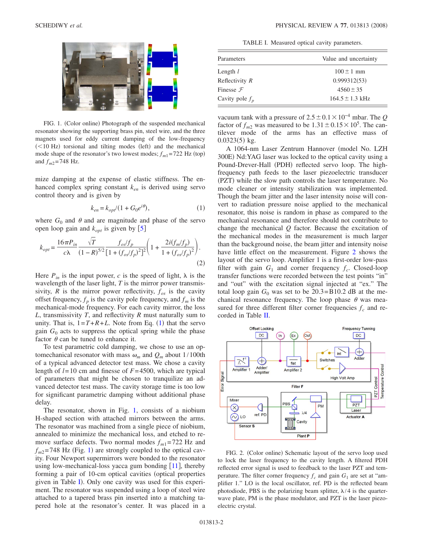<span id="page-1-1"></span>

FIG. 1. (Color online) Photograph of the suspended mechanical resonator showing the supporting brass pin, steel wire, and the three magnets used for eddy current damping of the low-frequency (<10 Hz) torsional and tilting modes (left) and the mechanical mode shape of the resonator's two lowest modes;  $f_{m1}$ =722 Hz (top) and  $f_{m2}$ =748 Hz.

mize damping at the expense of elastic stiffness. The enhanced complex spring constant *ken* is derived using servo control theory and is given by

$$
k_{en} = k_{opt}/(1 + G_0 e^{i\theta}),
$$
 (1)

<span id="page-1-0"></span>where  $G_0$  and  $\theta$  and are magnitude and phase of the servo open loop gain and  $k_{opt}$  is given by  $[5]$  $[5]$  $[5]$ 

<span id="page-1-4"></span>
$$
k_{opt} = \frac{16\pi P_{in}}{c\lambda} \frac{\sqrt{T}}{(1-R)^{5/2}} \frac{f_{os}/f_p}{[1 + (f_{os}/f_p)^2]^2} \left(1 + \frac{2i(f_m/f_p)}{1 + (f_{os}/f_p)^2}\right).
$$
\n(2)

Here  $P_{in}$  is the input power, *c* is the speed of light,  $\lambda$  is the wavelength of the laser light, *T* is the mirror power transmissivity,  $R$  is the mirror power reflectivity,  $f_{\alpha s}$  is the cavity offset frequency,  $f_p$  is the cavity pole frequency, and  $f_m$  is the mechanical-mode frequency. For each cavity mirror, the loss *L*, transmissivity *T*, and reflectivity *R* must naturally sum to unity. That is,  $1 = T + R + L$  $1 = T + R + L$ . Note from Eq. (1) that the servo gain  $G_0$  acts to suppress the optical spring while the phase factor  $\theta$  can be tuned to enhance it.

To test parametric cold damping, we chose to use an optomechanical resonator with mass  $\omega_m$  and  $Q_m$  about 1/100th of a typical advanced detector test mass. We chose a cavity length of *l*=10 cm and finesse of *F*=4500, which are typical of parameters that might be chosen to tranquilize an advanced detector test mass. The cavity storage time is too low for significant parametric damping without additional phase delay.

The resonator, shown in Fig. [1,](#page-1-1) consists of a niobium H-shaped section with attached mirrors between the arms. The resonator was machined from a single piece of niobium, annealed to minimize the mechanical loss, and etched to remove surface defects. Two normal modes  $f_{m1}=722$  Hz and  $f_{m2}$ =748 Hz (Fig. [1](#page-1-1)) are strongly coupled to the optical cavity. Four Newport supermirrors were bonded to the resonator using low-mechanical-loss yacca gum bonding  $[11]$  $[11]$  $[11]$ , thereby forming a pair of 10-cm optical cavities (optical properties given in Table [I](#page-1-2)). Only one cavity was used for this experiment. The resonator was suspended using a loop of steel wire attached to a tapered brass pin inserted into a matching tapered hole at the resonator's center. It was placed in a

TABLE I. Measured optical cavity parameters.

<span id="page-1-2"></span>

| Parameters           | Value and uncertainty |
|----------------------|-----------------------|
| Length $l$           | $100 \pm 1$ mm        |
| Reflectivity R       | 0.999312(53)          |
| Finesse $\mathcal F$ | $4560 \pm 35$         |
| Cavity pole $f_p$    | $164.5 \pm 1.3$ kHz   |
|                      |                       |

vacuum tank with a pressure of  $2.5 \pm 0.1 \times 10^{-4}$  mbar. The *Q* factor of  $f_{m2}$  was measured to be  $1.31 \pm 0.15 \times 10^5$ . The cantilever mode of the arms has an effective mass of  $0.0323(5)$  kg.

A 1064-nm Laser Zentrum Hannover (model No. LZH 300E) Nd:YAG laser was locked to the optical cavity using a Pound-Drever-Hall (PDH) reflected servo loop. The highfrequency path feeds to the laser piezoelectric transducer (PZT) while the slow path controls the laser temperature. No mode cleaner or intensity stabilization was implemented. Though the beam jitter and the laser intensity noise will convert to radiation pressure noise applied to the mechanical resonator, this noise is random in phase as compared to the mechanical resonance and therefore should not contribute to change the mechanical *Q* factor. Because the excitation of the mechanical modes in the measurement is much larger than the background noise, the beam jitter and intensity noise have little effect on the measurement. Figure [2](#page-1-3) shows the layout of the servo loop. Amplifier 1 is a first-order low-pass filter with gain  $G_1$  and corner frequency  $f_c$ . Closed-loop transfer functions were recorded between the test points "in" and "out" with the excitation signal injected at "ex." The total loop gain  $G_0$  was set to be 20.3=B10.2 dB at the mechanical resonance frequency. The loop phase  $\theta$  was measured for three different filter corner frequencies  $f_c$  and recorded in Table [II.](#page-2-0)

<span id="page-1-3"></span>

FIG. 2. (Color online) Schematic layout of the servo loop used to lock the laser frequency to the cavity length. A filtered PDH reflected error signal is used to feedback to the laser PZT and temperature. The filter corner frequency  $f_c$  and gain  $G_1$  are set at "amplifier 1." LO is the local oscillator, ref. PD is the reflected beam photodiode, PBS is the polarizing beam splitter,  $\lambda/4$  is the quarterwave plate, PM is the phase modulator, and PZT is the laser piezoelectric crystal.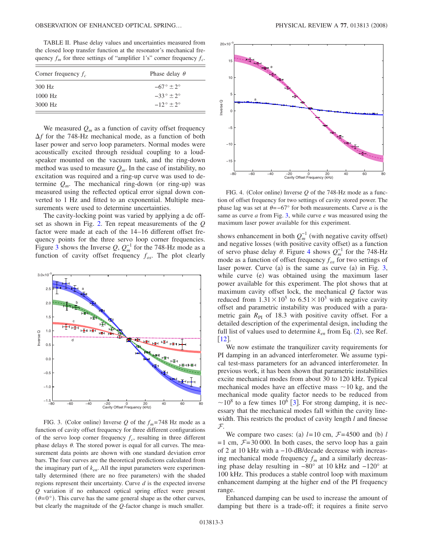<span id="page-2-0"></span>TABLE II. Phase delay values and uncertainties measured from the closed loop transfer function at the resonator's mechanical frequency  $f_m$  for three settings of "amplifier 1's" corner frequency  $f_c$ .

| Corner frequency $f_c$ | Phase delay $\theta$    |
|------------------------|-------------------------|
| 300 Hz                 | $-67^\circ \pm 2^\circ$ |
| $1000$ Hz              | $-33^\circ \pm 2^\circ$ |
| 3000 Hz                | $-12^{\circ}$ + 2°      |

We measured  $Q_m$  as a function of cavity offset frequency  $\Delta f$  for the 748-Hz mechanical mode, as a function of both laser power and servo loop parameters. Normal modes were acoustically excited through residual coupling to a loudspeaker mounted on the vacuum tank, and the ring-down method was used to measure  $Q_m$ . In the case of instability, no excitation was required and a ring-up curve was used to determine  $Q_m$ . The mechanical ring-down (or ring-up) was measured using the reflected optical error signal down converted to 1 Hz and fitted to an exponential. Multiple measurements were used to determine uncertainties.

The cavity-locking point was varied by applying a dc offset as shown in Fig. [2.](#page-1-3) Ten repeat measurements of the *Q* factor were made at each of the 14–16 different offset frequency points for the three servo loop corner frequencies. Figure [3](#page-2-1) shows the Inverse  $Q$ ,  $Q_m^{-1}$  for the 748-Hz mode as a function of cavity offset frequency  $f_{os}$ . The plot clearly

<span id="page-2-1"></span>

FIG. 3. (Color online) Inverse *Q* of the  $f_m$ =748 Hz mode as a function of cavity offset frequency for three different configurations of the servo loop corner frequency  $f_c$ , resulting in three different phase delays  $\theta$ . The stored power is equal for all curves. The measurement data points are shown with one standard deviation error bars. The four curves are the theoretical predictions calculated from the imaginary part of *ken*. All the input parameters were experimentally determined (there are no free parameters) with the shaded regions represent their uncertainty. Curve *d* is the expected inverse *Q* variation if no enhanced optical spring effect were present  $(\theta=0^{\circ})$ . This curve has the same general shape as the other curves, but clearly the magnitude of the *Q*-factor change is much smaller.

<span id="page-2-2"></span>

FIG. 4. (Color online) Inverse  $Q$  of the 748-Hz mode as a function of offset frequency for two settings of cavity stored power. The phase lag was set at  $\theta$ =−67° for both measurements. Curve *a* is the same as curve *a* from Fig. [3,](#page-2-1) while curve *e* was measured using the maximum laser power available for this experiment.

shows enhancement in both  $Q_m^{-1}$  (with negative cavity offset) and negative losses (with positive cavity offset) as a function of servo phase delay  $\theta$ . Figure [4](#page-2-2) shows  $Q_m^{-1}$  for the 748-Hz mode as a function of offset frequency  $f_{\alpha s}$  for two settings of laser power. Curve (a) is the same as curve (a) in Fig. [3,](#page-2-1) while curve (e) was obtained using the maximum laser power available for this experiment. The plot shows that at maximum cavity offset lock, the mechanical *Q* factor was reduced from  $1.31 \times 10^5$  to  $6.51 \times 10^3$  with negative cavity offset and parametric instability was produced with a parametric gain  $R_{PI}$  of 18.3 with positive cavity offset. For a detailed description of the experimental design, including the full list of values used to determine  $k_{en}$  from Eq. ([2](#page-1-4)), see Ref.  $\left[12\right]$  $\left[12\right]$  $\left[12\right]$ .

We now estimate the tranquilizer cavity requirements for PI damping in an advanced interferometer. We assume typical test-mass parameters for an advanced interferometer. In previous work, it has been shown that parametric instabilities excite mechanical modes from about 30 to 120 kHz. Typical mechanical modes have an effective mass  $\sim$ 10 kg, and the mechanical mode quality factor needs to be reduced from  $\sim$ 10<sup>8</sup> to a few times 10<sup>6</sup> [[3](#page-3-2)]. For strong damping, it is necessary that the mechanical modes fall within the cavity linewidth. This restricts the product of cavity length *l* and finesse F.

We compare two cases: (a)  $l=10$  cm,  $\mathcal{F}=4500$  and (b)  $l$  $=1$  cm,  $\mathcal{F}=30000$ . In both cases, the servo loop has a gain of 2 at 10 kHz with a −10-dB/decade decrease with increasing mechanical mode frequency  $f_m$  and a similarly decreasing phase delay resulting in −80° at 10 kHz and −120° at 100 kHz. This produces a stable control loop with maximum enhancement damping at the higher end of the PI frequency range.

Enhanced damping can be used to increase the amount of damping but there is a trade-off; it requires a finite servo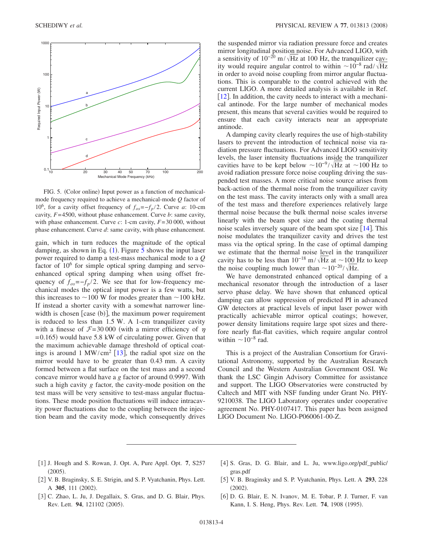<span id="page-3-6"></span>

FIG. 5. (Color online) Input power as a function of mechanicalmode frequency required to achieve a mechanical-mode *Q* factor of 10<sup>6</sup>, for a cavity offset frequency of  $f_{\alpha s} = -f_p/2$ . Curve *a*: 10-cm cavity, *F*=4500, without phase enhancement. Curve *b*: same cavity, with phase enhancement. Curve *c*: 1-cm cavity, *F*=30 000, without phase enhancement. Curve *d*: same cavity, with phase enhancement.

gain, which in turn reduces the magnitude of the optical damping, as shown in Eq.  $(1)$  $(1)$  $(1)$ . Figure [5](#page-3-6) shows the input laser power required to damp a test-mass mechanical mode to a *Q* factor of  $10^6$  for simple optical spring damping and servoenhanced optical spring damping when using offset frequency of  $f_{\text{o}s} = -f_p/2$ . We see that for low-frequency mechanical modes the optical input power is a few watts, but this increases to  $\sim$  100 W for modes greater than  $\sim$  100 kHz. If instead a shorter cavity with a somewhat narrower linewidth is chosen [case (b)], the maximum power requirement is reduced to less than 1.5 W. A 1-cm tranquilizer cavity with a finesse of  $\mathcal{F}=30000$  (with a mirror efficiency of  $\eta$ =0.165) would have 5.8 kW of circulating power. Given that the maximum achievable damage threshold of optical coat-ings is around 1 MW/cm<sup>2</sup> [[13](#page-4-6)], the radial spot size on the mirror would have to be greater than 0.43 mm. A cavity formed between a flat surface on the test mass and a second concave mirror would have a *g* factor of around 0.9997. With such a high cavity *g* factor, the cavity-mode position on the test mass will be very sensitive to test-mass angular fluctuations. These mode position fluctuations will induce intracavity power fluctuations due to the coupling between the injection beam and the cavity mode, which consequently drives

the suspended mirror via radiation pressure force and creates mirror longitudinal position noise. For Advanced LIGO, with a sensitivity of  $10^{-20}$  m/ $\sqrt{Hz}$  at 100 Hz, the tranquilizer cavity would require angular control to within  $\sim 10^{-8}$  rad/ $\sqrt{\text{Hz}}$ in order to avoid noise coupling from mirror angular fluctuations. This is comparable to the control achieved with the current LIGO. A more detailed analysis is available in Ref.  $\lceil 12 \rceil$  $\lceil 12 \rceil$  $\lceil 12 \rceil$ . In addition, the cavity needs to interact with a mechanical antinode. For the large number of mechanical modes present, this means that several cavities would be required to ensure that each cavity interacts near an appropriate antinode.

A damping cavity clearly requires the use of high-stability lasers to prevent the introduction of technical noise via radiation pressure fluctuations. For Advanced LIGO sensitivity levels, the laser intensity fluctuations inside the tranquilizer cavities have to be kept below  $\sim 10^{-9}/\sqrt{\text{Hz}}$  at  $\sim 100 \text{ Hz}$  to avoid radiation pressure force noise coupling driving the suspended test masses. A more critical noise source arises from back-action of the thermal noise from the tranquilizer cavity on the test mass. The cavity interacts only with a small area of the test mass and therefore experiences relatively large thermal noise because the bulk thermal noise scales inverse linearly with the beam spot size and the coating thermal noise scales inversely square of the beam spot size  $[14]$  $[14]$  $[14]$ . This noise modulates the tranquilizer cavity and drives the test mass via the optical spring. In the case of optimal damping we estimate that the thermal noise level in the tranquilizer cavity has to be less than  $10^{-18}$  m/ $\sqrt{Hz}$  at ~100 Hz to keep the noise coupling much lower than  $\sim 10^{-20} / \sqrt{\text{Hz}}$ .

We have demonstrated enhanced optical damping of a mechanical resonator through the introduction of a laser servo phase delay. We have shown that enhanced optical damping can allow suppression of predicted PI in advanced GW detectors at practical levels of input laser power with practically achievable mirror optical coatings; however, power density limitations require large spot sizes and therefore nearly flat-flat cavities, which require angular control within  $\sim 10^{-8}$  rad.

This is a project of the Australian Consortium for Gravitational Astronomy, supported by the Australian Research Council and the Western Australian Government OSI. We thank the LSC Gingin Advisory Committee for assistance and support. The LIGO Observatories were constructed by Caltech and MIT with NSF funding under Grant No. PHY-9210038. The LIGO Laboratory operates under cooperative agreement No. PHY-0107417. This paper has been assigned LIGO Document No. LIGO-P060061-00-Z.

- <span id="page-3-0"></span>1 J. Hough and S. Rowan, J. Opt. A, Pure Appl. Opt. **7**, S257  $(2005).$
- <span id="page-3-3"></span>[4] S. Gras, D. G. Blair, and L. Ju, www.ligo.org/pdf\_public/ gras.pdf
- <span id="page-3-1"></span>[2] V. B. Braginsky, S. E. Strigin, and S. P. Vyatchanin, Phys. Lett. A 305, 111 (2002).
- <span id="page-3-2"></span>[3] C. Zhao, L. Ju, J. Degallaix, S. Gras, and D. G. Blair, Phys. Rev. Lett. 94, 121102 (2005).
- <span id="page-3-4"></span>5 V. B. Braginsky and S. P. Vyatchanin, Phys. Lett. A **293**, 228  $(2002).$
- <span id="page-3-5"></span>6 D. G. Blair, E. N. Ivanov, M. E. Tobar, P. J. Turner, F. van Kann, I. S. Heng, Phys. Rev. Lett. 74, 1908 (1995).